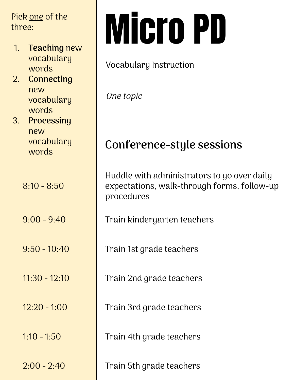three:

- 1. **Teaching** new vocabulary words
- 2. **Connecting** new vocabulary words

3. **Processing** new vocabulary

 $8:10 - 8:50$ 

## Pick <u>one</u> of the<br>three:<br>1. Teaching new

#### Vocabulary Instruction

One topic

### words **Conference-style sessions**

Huddle with administrators to go over daily expectations, walk-through forms, follow-up procedures

9:00 - 9:40 Train kindergarten teachers

9:50 - 10:40 Train 1st grade teachers

11:30 - 12:10 **Train 2nd grade teachers** 

12:20 - 1:00 Train 3rd grade teachers

1:10 - 1:50 Train 4th grade teachers

 $2:00 - 2:40$  Train 5th grade teachers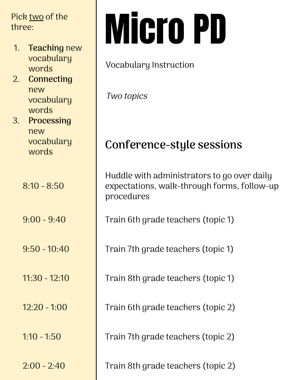three:

- 1. **Teaching** new vocabulary words
- 2. **Connecting** new vocabulary words
- 3. **Processing** new vocabulary

 $8:10 - 8:50$ 

# Pick <u>two</u> of the<br>three:<br>1. Teaching new

#### Vocabulary Instruction

Two topics

### words **Conference-style sessions**

Huddle with administrators to go over daily expectations, walk-through forms, follow-up procedures

9:00 - 9:40 Train 6th grade teachers (topic 1)

9:50 - 10:40 Train 7th grade teachers (topic 1)

11:30 - 12:10 Train 8th grade teachers (topic 1)

12:20 - 1:00 Train 6th grade teachers (topic 2)

 $1:10 - 1:50$  Train 7th grade teachers (topic 2)

2:00 - 2:40 Train 8th grade teachers (topic 2)